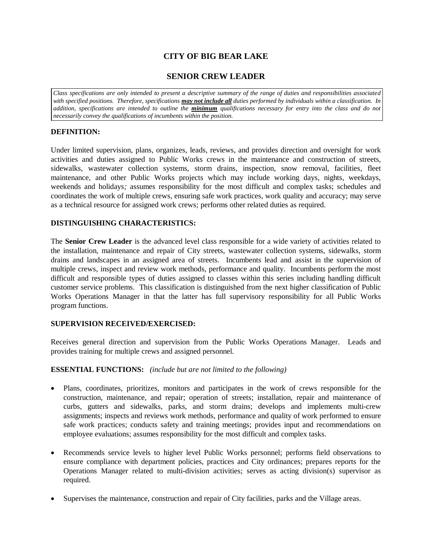# **CITY OF BIG BEAR LAKE**

## **SENIOR CREW LEADER**

*Class specifications are only intended to present a descriptive summary of the range of duties and responsibilities associated with specified positions. Therefore, specifications may not include all duties performed by individuals within a classification. In addition, specifications are intended to outline the minimum qualifications necessary for entry into the class and do not necessarily convey the qualifications of incumbents within the position.*

## **DEFINITION:**

Under limited supervision, plans, organizes, leads, reviews, and provides direction and oversight for work activities and duties assigned to Public Works crews in the maintenance and construction of streets, sidewalks, wastewater collection systems, storm drains, inspection, snow removal, facilities, fleet maintenance, and other Public Works projects which may include working days, nights, weekdays, weekends and holidays*;* assumes responsibility for the most difficult and complex tasks; schedules and coordinates the work of multiple crews, ensuring safe work practices, work quality and accuracy; may serve as a technical resource for assigned work crews; performs other related duties as required.

### **DISTINGUISHING CHARACTERISTICS:**

The **Senior Crew Leader** is the advanced level class responsible for a wide variety of activities related to the installation, maintenance and repair of City streets, wastewater collection systems, sidewalks, storm drains and landscapes in an assigned area of streets. Incumbents lead and assist in the supervision of multiple crews, inspect and review work methods, performance and quality. Incumbents perform the most difficult and responsible types of duties assigned to classes within this series including handling difficult customer service problems. This classification is distinguished from the next higher classification of Public Works Operations Manager in that the latter has full supervisory responsibility for all Public Works program functions.

### **SUPERVISION RECEIVED/EXERCISED:**

Receives general direction and supervision from the Public Works Operations Manager. Leads and provides training for multiple crews and assigned personnel.

### **ESSENTIAL FUNCTIONS:** *(include but are not limited to the following)*

- Plans, coordinates, prioritizes, monitors and participates in the work of crews responsible for the construction, maintenance, and repair; operation of streets; installation, repair and maintenance of curbs, gutters and sidewalks, parks, and storm drains; develops and implements multi-crew assignments; inspects and reviews work methods, performance and quality of work performed to ensure safe work practices; conducts safety and training meetings; provides input and recommendations on employee evaluations; assumes responsibility for the most difficult and complex tasks.
- Recommends service levels to higher level Public Works personnel; performs field observations to ensure compliance with department policies, practices and City ordinances; prepares reports for the Operations Manager related to multi-division activities; serves as acting division(s) supervisor as required.
- Supervises the maintenance, construction and repair of City facilities, parks and the Village areas.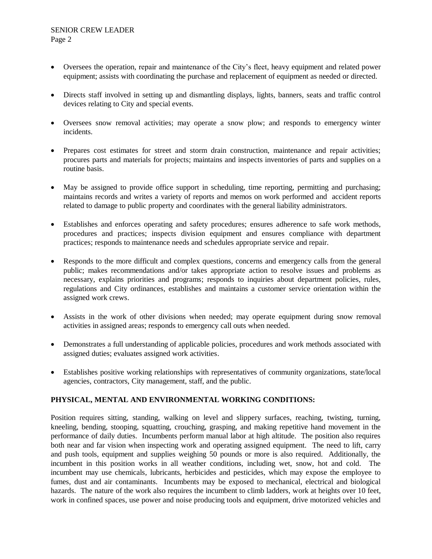- Oversees the operation, repair and maintenance of the City's fleet, heavy equipment and related power equipment; assists with coordinating the purchase and replacement of equipment as needed or directed.
- Directs staff involved in setting up and dismantling displays, lights, banners, seats and traffic control devices relating to City and special events.
- Oversees snow removal activities; may operate a snow plow; and responds to emergency winter incidents.
- Prepares cost estimates for street and storm drain construction, maintenance and repair activities; procures parts and materials for projects; maintains and inspects inventories of parts and supplies on a routine basis.
- May be assigned to provide office support in scheduling, time reporting, permitting and purchasing; maintains records and writes a variety of reports and memos on work performed and accident reports related to damage to public property and coordinates with the general liability administrators.
- Establishes and enforces operating and safety procedures; ensures adherence to safe work methods, procedures and practices; inspects division equipment and ensures compliance with department practices; responds to maintenance needs and schedules appropriate service and repair.
- Responds to the more difficult and complex questions, concerns and emergency calls from the general public; makes recommendations and/or takes appropriate action to resolve issues and problems as necessary, explains priorities and programs; responds to inquiries about department policies, rules, regulations and City ordinances, establishes and maintains a customer service orientation within the assigned work crews.
- Assists in the work of other divisions when needed; may operate equipment during snow removal activities in assigned areas; responds to emergency call outs when needed.
- Demonstrates a full understanding of applicable policies, procedures and work methods associated with assigned duties; evaluates assigned work activities.
- Establishes positive working relationships with representatives of community organizations, state/local agencies, contractors, City management, staff, and the public.

### **PHYSICAL, MENTAL AND ENVIRONMENTAL WORKING CONDITIONS:**

Position requires sitting, standing, walking on level and slippery surfaces, reaching, twisting, turning, kneeling, bending, stooping, squatting, crouching, grasping, and making repetitive hand movement in the performance of daily duties. Incumbents perform manual labor at high altitude. The position also requires both near and far vision when inspecting work and operating assigned equipment. The need to lift, carry and push tools, equipment and supplies weighing 50 pounds or more is also required. Additionally, the incumbent in this position works in all weather conditions, including wet, snow, hot and cold. The incumbent may use chemicals, lubricants, herbicides and pesticides, which may expose the employee to fumes, dust and air contaminants. Incumbents may be exposed to mechanical, electrical and biological hazards. The nature of the work also requires the incumbent to climb ladders, work at heights over 10 feet, work in confined spaces, use power and noise producing tools and equipment, drive motorized vehicles and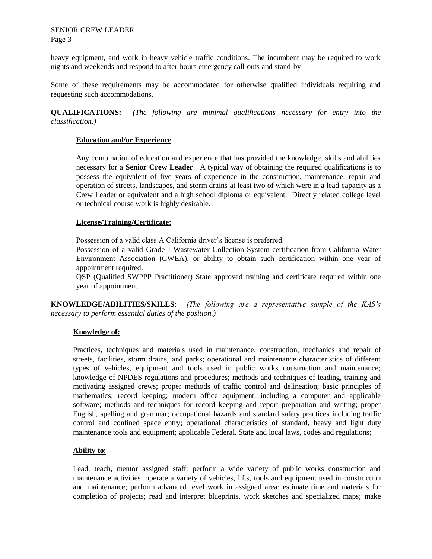SENIOR CREW LEADER Page 3

heavy equipment, and work in heavy vehicle traffic conditions. The incumbent may be required to work nights and weekends and respond to after-hours emergency call-outs and stand-by

Some of these requirements may be accommodated for otherwise qualified individuals requiring and requesting such accommodations.

**QUALIFICATIONS:** *(The following are minimal qualifications necessary for entry into the classification.)*

#### **Education and/or Experience**

Any combination of education and experience that has provided the knowledge, skills and abilities necessary for a **Senior Crew Leader**. A typical way of obtaining the required qualifications is to possess the equivalent of five years of experience in the construction, maintenance, repair and operation of streets, landscapes, and storm drains at least two of which were in a lead capacity as a Crew Leader or equivalent and a high school diploma or equivalent. Directly related college level or technical course work is highly desirable.

#### **License/Training/Certificate:**

Possession of a valid class A California driver's license is preferred.

Possession of a valid Grade I Wastewater Collection System certification from California Water Environment Association (CWEA), or ability to obtain such certification within one year of appointment required.

QSP (Qualified SWPPP Practitioner) State approved training and certificate required within one year of appointment.

**KNOWLEDGE/ABILITIES/SKILLS:** *(The following are a representative sample of the KAS's necessary to perform essential duties of the position.)* 

### **Knowledge of:**

Practices, techniques and materials used in maintenance, construction, mechanics and repair of streets, facilities, storm drains, and parks; operational and maintenance characteristics of different types of vehicles, equipment and tools used in public works construction and maintenance; knowledge of NPDES regulations and procedures; methods and techniques of leading, training and motivating assigned crews; proper methods of traffic control and delineation; basic principles of mathematics; record keeping; modern office equipment, including a computer and applicable software; methods and techniques for record keeping and report preparation and writing; proper English, spelling and grammar; occupational hazards and standard safety practices including traffic control and confined space entry; operational characteristics of standard, heavy and light duty maintenance tools and equipment; applicable Federal, State and local laws, codes and regulations;

### **Ability to:**

Lead, teach, mentor assigned staff; perform a wide variety of public works construction and maintenance activities; operate a variety of vehicles, lifts, tools and equipment used in construction and maintenance; perform advanced level work in assigned area; estimate time and materials for completion of projects; read and interpret blueprints, work sketches and specialized maps; make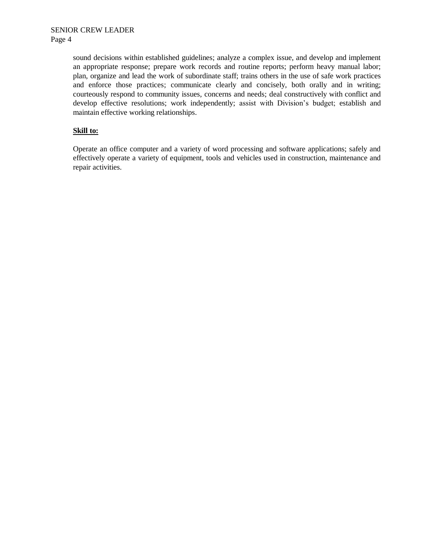sound decisions within established guidelines; analyze a complex issue, and develop and implement an appropriate response; prepare work records and routine reports; perform heavy manual labor; plan, organize and lead the work of subordinate staff; trains others in the use of safe work practices and enforce those practices; communicate clearly and concisely, both orally and in writing; courteously respond to community issues, concerns and needs; deal constructively with conflict and develop effective resolutions; work independently; assist with Division's budget; establish and maintain effective working relationships.

### **Skill to:**

Operate an office computer and a variety of word processing and software applications; safely and effectively operate a variety of equipment, tools and vehicles used in construction, maintenance and repair activities.